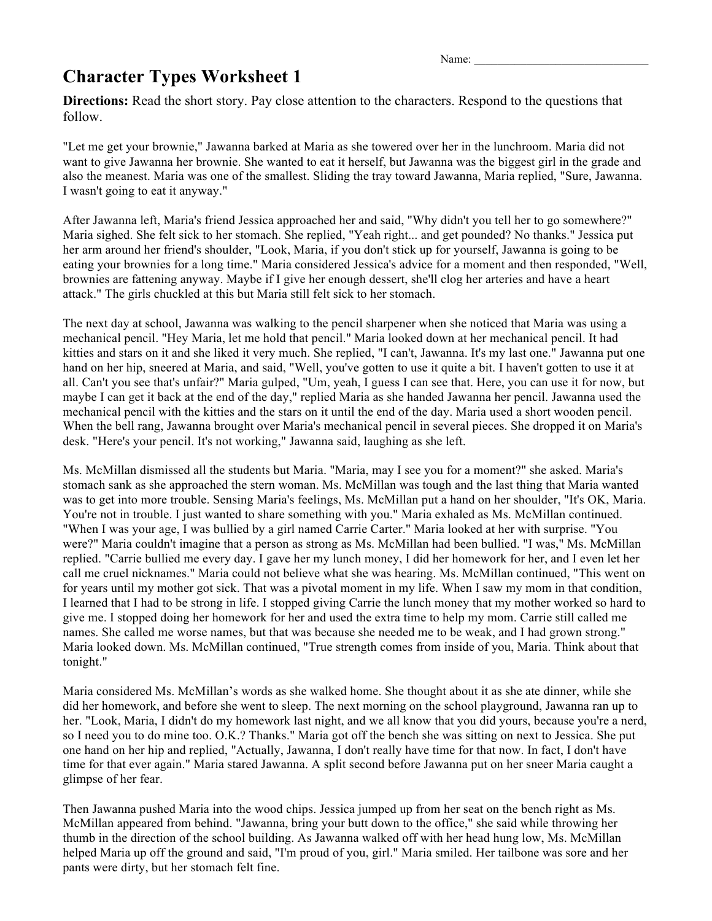Name:

## **Character Types Worksheet 1**

**Directions:** Read the short story. Pay close attention to the characters. Respond to the questions that follow.

"Let me get your brownie," Jawanna barked at Maria as she towered over her in the lunchroom. Maria did not want to give Jawanna her brownie. She wanted to eat it herself, but Jawanna was the biggest girl in the grade and also the meanest. Maria was one of the smallest. Sliding the tray toward Jawanna, Maria replied, "Sure, Jawanna. I wasn't going to eat it anyway."

After Jawanna left, Maria's friend Jessica approached her and said, "Why didn't you tell her to go somewhere?" Maria sighed. She felt sick to her stomach. She replied, "Yeah right... and get pounded? No thanks." Jessica put her arm around her friend's shoulder, "Look, Maria, if you don't stick up for yourself, Jawanna is going to be eating your brownies for a long time." Maria considered Jessica's advice for a moment and then responded, "Well, brownies are fattening anyway. Maybe if I give her enough dessert, she'll clog her arteries and have a heart attack." The girls chuckled at this but Maria still felt sick to her stomach.

The next day at school, Jawanna was walking to the pencil sharpener when she noticed that Maria was using a mechanical pencil. "Hey Maria, let me hold that pencil." Maria looked down at her mechanical pencil. It had kitties and stars on it and she liked it very much. She replied, "I can't, Jawanna. It's my last one." Jawanna put one hand on her hip, sneered at Maria, and said, "Well, you've gotten to use it quite a bit. I haven't gotten to use it at all. Can't you see that's unfair?" Maria gulped, "Um, yeah, I guess I can see that. Here, you can use it for now, but maybe I can get it back at the end of the day," replied Maria as she handed Jawanna her pencil. Jawanna used the mechanical pencil with the kitties and the stars on it until the end of the day. Maria used a short wooden pencil. When the bell rang, Jawanna brought over Maria's mechanical pencil in several pieces. She dropped it on Maria's desk. "Here's your pencil. It's not working," Jawanna said, laughing as she left.

Ms. McMillan dismissed all the students but Maria. "Maria, may I see you for a moment?" she asked. Maria's stomach sank as she approached the stern woman. Ms. McMillan was tough and the last thing that Maria wanted was to get into more trouble. Sensing Maria's feelings, Ms. McMillan put a hand on her shoulder, "It's OK, Maria. You're not in trouble. I just wanted to share something with you." Maria exhaled as Ms. McMillan continued. "When I was your age, I was bullied by a girl named Carrie Carter." Maria looked at her with surprise. "You were?" Maria couldn't imagine that a person as strong as Ms. McMillan had been bullied. "I was," Ms. McMillan replied. "Carrie bullied me every day. I gave her my lunch money, I did her homework for her, and I even let her call me cruel nicknames." Maria could not believe what she was hearing. Ms. McMillan continued, "This went on for years until my mother got sick. That was a pivotal moment in my life. When I saw my mom in that condition, I learned that I had to be strong in life. I stopped giving Carrie the lunch money that my mother worked so hard to give me. I stopped doing her homework for her and used the extra time to help my mom. Carrie still called me names. She called me worse names, but that was because she needed me to be weak, and I had grown strong." Maria looked down. Ms. McMillan continued, "True strength comes from inside of you, Maria. Think about that tonight."

Maria considered Ms. McMillan's words as she walked home. She thought about it as she ate dinner, while she did her homework, and before she went to sleep. The next morning on the school playground, Jawanna ran up to her. "Look, Maria, I didn't do my homework last night, and we all know that you did yours, because you're a nerd, so I need you to do mine too. O.K.? Thanks." Maria got off the bench she was sitting on next to Jessica. She put one hand on her hip and replied, "Actually, Jawanna, I don't really have time for that now. In fact, I don't have time for that ever again." Maria stared Jawanna. A split second before Jawanna put on her sneer Maria caught a glimpse of her fear.

Then Jawanna pushed Maria into the wood chips. Jessica jumped up from her seat on the bench right as Ms. McMillan appeared from behind. "Jawanna, bring your butt down to the office," she said while throwing her thumb in the direction of the school building. As Jawanna walked off with her head hung low, Ms. McMillan helped Maria up off the ground and said, "I'm proud of you, girl." Maria smiled. Her tailbone was sore and her pants were dirty, but her stomach felt fine.